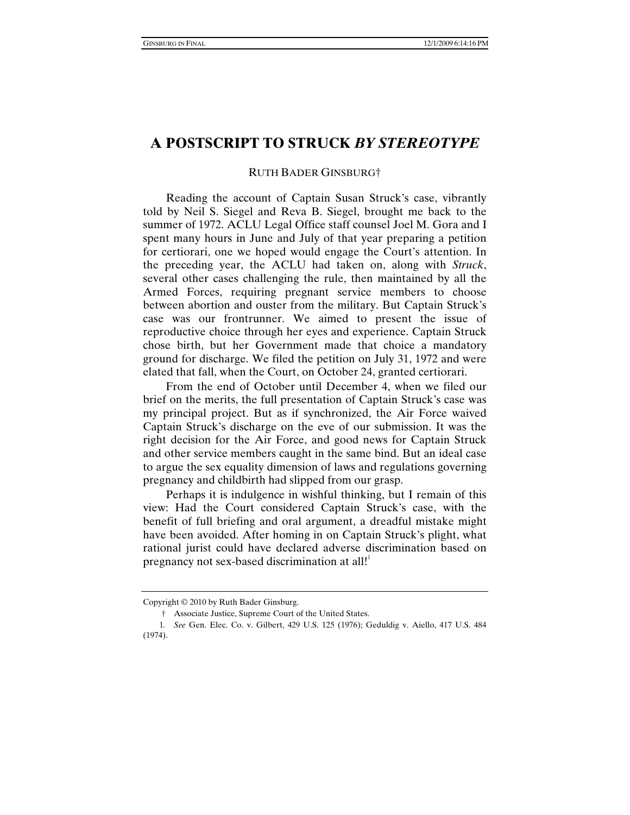## **A POSTSCRIPT TO STRUCK** *BY STEREOTYPE*

## RUTH BADER GINSBURG†

Reading the account of Captain Susan Struck's case, vibrantly told by Neil S. Siegel and Reva B. Siegel, brought me back to the summer of 1972. ACLU Legal Office staff counsel Joel M. Gora and I spent many hours in June and July of that year preparing a petition for certiorari, one we hoped would engage the Court's attention. In the preceding year, the ACLU had taken on, along with *Struck*, several other cases challenging the rule, then maintained by all the Armed Forces, requiring pregnant service members to choose between abortion and ouster from the military. But Captain Struck's case was our frontrunner. We aimed to present the issue of reproductive choice through her eyes and experience. Captain Struck chose birth, but her Government made that choice a mandatory ground for discharge. We filed the petition on July 31, 1972 and were elated that fall, when the Court, on October 24, granted certiorari.

From the end of October until December 4, when we filed our brief on the merits, the full presentation of Captain Struck's case was my principal project. But as if synchronized, the Air Force waived Captain Struck's discharge on the eve of our submission. It was the right decision for the Air Force, and good news for Captain Struck and other service members caught in the same bind. But an ideal case to argue the sex equality dimension of laws and regulations governing pregnancy and childbirth had slipped from our grasp.

Perhaps it is indulgence in wishful thinking, but I remain of this view: Had the Court considered Captain Struck's case, with the benefit of full briefing and oral argument, a dreadful mistake might have been avoided. After homing in on Captain Struck's plight, what rational jurist could have declared adverse discrimination based on pregnancy not sex-based discrimination at all!<sup>1</sup>

Copyright © 2010 by Ruth Bader Ginsburg.

 <sup>†</sup> Associate Justice, Supreme Court of the United States.

<sup>1</sup>*. See* Gen. Elec. Co. v. Gilbert, 429 U.S. 125 (1976); Geduldig v. Aiello, 417 U.S. 484 (1974).